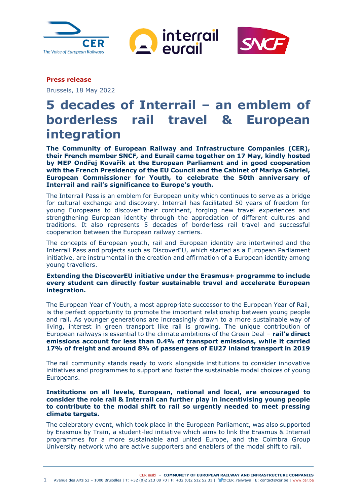





**Press release**

Brussels, 18 May 2022

# **5 decades of Interrail – an emblem of borderless rail travel & European integration**

**The Community of European Railway and Infrastructure Companies (CER), their French member SNCF, and Eurail came together on 17 May, kindly hosted by MEP Ondřej Kovařík at the European Parliament and in good cooperation with the French Presidency of the EU Council and the Cabinet of Mariya Gabriel, European Commissioner for Youth, to celebrate the 50th anniversary of Interrail and rail's significance to Europe's youth.** 

The Interrail Pass is an emblem for European unity which continues to serve as a bridge for cultural exchange and discovery. Interrail has facilitated 50 years of freedom for young Europeans to discover their continent, forging new travel experiences and strengthening European identity through the appreciation of different cultures and traditions. It also represents 5 decades of borderless rail travel and successful cooperation between the European railway carriers.

The concepts of European youth, rail and European identity are intertwined and the [Interrail Pass](https://www.interrail.eu/en) and projects such as [DiscoverEU,](https://europa.eu/youth/discovereu_en) which started as a European Parliament initiative, are instrumental in the creation and affirmation of a European identity among young travellers.

# **Extending the DiscoverEU initiative under the Erasmus+ programme to include every student can directly foster sustainable travel and accelerate European integration.**

The European Year of Youth, a most appropriate successor to the European Year of Rail, is the perfect opportunity to promote the important relationship between young people and rail. As younger generations are increasingly drawn to a more sustainable way of living, interest in green transport like rail is growing. The unique contribution of European railways is essential to the climate ambitions of the Green Deal – **rail's direct emissions account for less than 0.4% of transport emissions, while it carried 17% of freight and around 8% of passengers of EU27 inland transport in 2019**

The rail community stands ready to work alongside institutions to consider innovative initiatives and programmes to support and foster the sustainable modal choices of young Europeans.

**Institutions on all levels, European, national and local, are encouraged to consider the role rail & Interrail can further play in incentivising young people to contribute to the modal shift to rail so urgently needed to meet pressing climate targets.** 

The celebratory event, which took place in the European Parliament, was also supported by Erasmus by Train, a student-led initiative which aims to link the Erasmus & Interrail programmes for a more sustainable and united Europe, and the Coimbra Group University network who are active supporters and enablers of the modal shift to rail.

CER aisbl ‒ **COMMUNITY OF EUROPEAN RAILWAY AND INFRASTRUCTURE COMPANIES**

1 Avenue des Arts 53 – 1000 Bruxelles | T: +32 (0)2 213 08 70 | F: +32 (0)2 512 52 31 | @CER\_railways | E: contact@cer.be | www.cer.be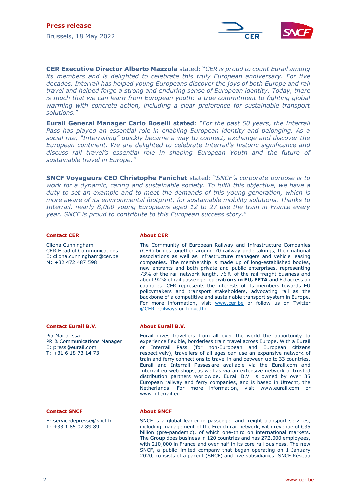

**CER Executive Director Alberto Mazzola** stated: "*CER is proud to count Eurail among its members and is delighted to celebrate this truly European anniversary. For five decades, Interrail has helped young Europeans discover the joys of both Europe and rail travel and helped forge a strong and enduring sense of European identity. Today, there is much that we can learn from European youth: a true commitment to fighting global warming with concrete action, including a clear preference for sustainable transport solutions.*"

**Eurail General Manager Carlo Boselli stated**: "*For the past 50 years, the Interrail Pass has played an essential role in enabling European identity and belonging. As a social rite, "Interrailing" quickly became a way to connect, exchange and discover the European continent. We are delighted to celebrate Interrail's historic significance and discuss rail travel's essential role in shaping European Youth and the future of sustainable travel in Europe."*

**SNCF Voyageurs CEO Christophe Fanichet** stated: "*SNCF's corporate purpose is to work for a dynamic, caring and sustainable society. To fulfil this objective, we have a duty to set an example and to meet the demands of this young generation, which is more aware of its environmental footprint, for sustainable mobility solutions. Thanks to Interrail, nearly 8,000 young Europeans aged 12 to 27 use the train in France every year. SNCF is proud to contribute to this European success story.*"

#### **Contact CER**

Cliona Cunningham CER Head of Communications E: cliona.cunningham@cer.be M: +32 472 487 598

## **About CER**

The Community of European Railway and Infrastructure Companies (CER) brings together around 70 railway undertakings, their national associations as well as infrastructure managers and vehicle leasing companies. The membership is made up of long-established bodies, new entrants and both private and public enterprises, representing 73% of the rail network length, 76% of the rail freight business and about 92% of rail passenger ope**rations in EU, EFTA** and EU accession countries. CER represents the interests of its members towards EU policymakers and transport stakeholders, advocating rail as the backbone of a competitive and sustainable transport system in Europe. For more information, visit [www.cer.be](http://www.cer.be/) or follow us on Twitter [@CER\\_railways](http://www.twitter.com/cer_railways) or [LinkedIn.](https://www.linkedin.com/company/cer-community-of-european-railway-and-infrastructure-companies-)

Eurail gives travellers from all over the world the opportunity to experience flexible, borderless train travel across Europe. With a Eurail or Interrail Pass (for non-European and European citizens respectively), travellers of all ages can use an expansive network of train and ferry connections to travel in and between up to 33 countries. Eurail and Interrail Passes are available via the Eurail.com and Interrail.eu web shops, as well as via an extensive network of trusted distribution partners worldwide. Eurail B.V. is owned by over 35 European railway and ferry companies, and is based in Utrecht, the Netherlands. For more information, visit [www.eurail.com](http://www.eurail.com/) or

### **Contact Eurail B.V.**

Pia Maria Issa PR & Communications Manager E: press@eurail.com T: +31 6 18 73 14 73

#### **Contact SNCF**

E: servicedepresse@sncf.fr T: +33 1 85 07 89 89

#### **About SNCF**

[www.interrail.eu.](http://www.interrail.eu/)

**About Eurail B.V.**

SNCF is a global leader in passenger and freight transport services, including management of the French rail network, with revenue of €35 billion (pre-pandemic), of which one-third on international markets. The Group does business in 120 countries and has 272,000 employees, with 210,000 in France and over half in its core rail business. The new SNCF, a public limited company that began operating on 1 January 2020, consists of a parent (SNCF) and five subsidiaries: SNCF Réseau